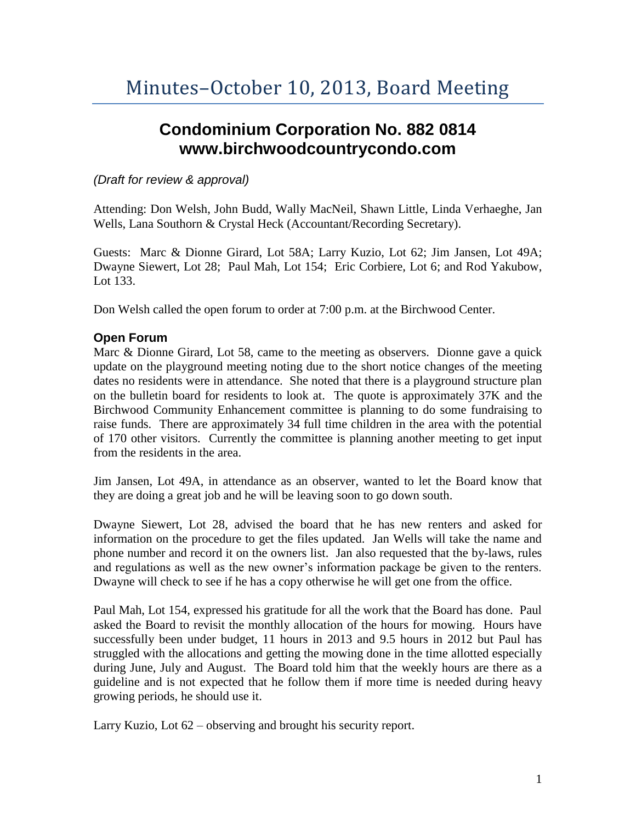# **Condominium Corporation No. 882 0814 www.birchwoodcountrycondo.com**

## *(Draft for review & approval)*

Attending: Don Welsh, John Budd, Wally MacNeil, Shawn Little, Linda Verhaeghe, Jan Wells, Lana Southorn & Crystal Heck (Accountant/Recording Secretary).

Guests: Marc & Dionne Girard, Lot 58A; Larry Kuzio, Lot 62; Jim Jansen, Lot 49A; Dwayne Siewert, Lot 28; Paul Mah, Lot 154; Eric Corbiere, Lot 6; and Rod Yakubow, Lot 133.

Don Welsh called the open forum to order at 7:00 p.m. at the Birchwood Center.

## **Open Forum**

Marc & Dionne Girard, Lot 58, came to the meeting as observers. Dionne gave a quick update on the playground meeting noting due to the short notice changes of the meeting dates no residents were in attendance. She noted that there is a playground structure plan on the bulletin board for residents to look at. The quote is approximately 37K and the Birchwood Community Enhancement committee is planning to do some fundraising to raise funds. There are approximately 34 full time children in the area with the potential of 170 other visitors. Currently the committee is planning another meeting to get input from the residents in the area.

Jim Jansen, Lot 49A, in attendance as an observer, wanted to let the Board know that they are doing a great job and he will be leaving soon to go down south.

Dwayne Siewert, Lot 28, advised the board that he has new renters and asked for information on the procedure to get the files updated. Jan Wells will take the name and phone number and record it on the owners list. Jan also requested that the by-laws, rules and regulations as well as the new owner's information package be given to the renters. Dwayne will check to see if he has a copy otherwise he will get one from the office.

Paul Mah, Lot 154, expressed his gratitude for all the work that the Board has done. Paul asked the Board to revisit the monthly allocation of the hours for mowing. Hours have successfully been under budget, 11 hours in 2013 and 9.5 hours in 2012 but Paul has struggled with the allocations and getting the mowing done in the time allotted especially during June, July and August. The Board told him that the weekly hours are there as a guideline and is not expected that he follow them if more time is needed during heavy growing periods, he should use it.

Larry Kuzio, Lot 62 – observing and brought his security report.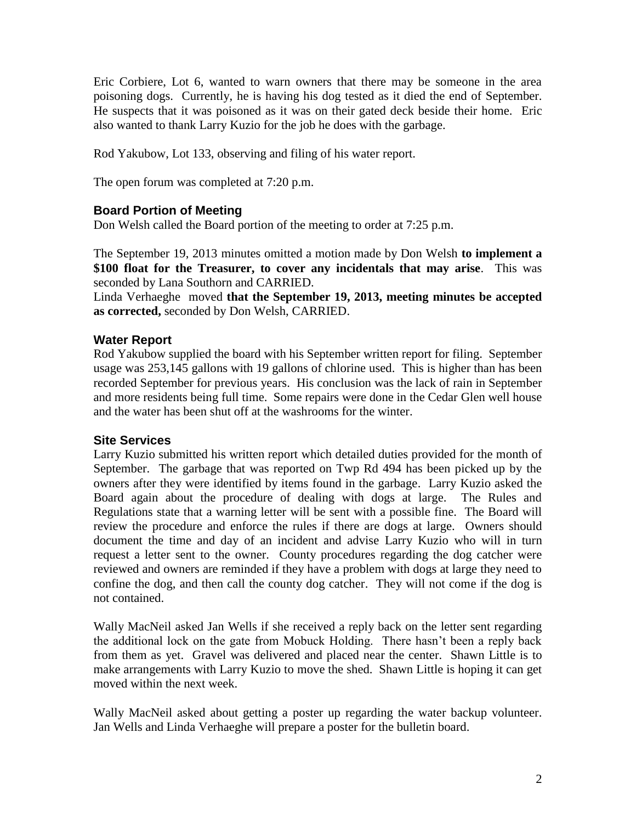Eric Corbiere, Lot 6, wanted to warn owners that there may be someone in the area poisoning dogs. Currently, he is having his dog tested as it died the end of September. He suspects that it was poisoned as it was on their gated deck beside their home. Eric also wanted to thank Larry Kuzio for the job he does with the garbage.

Rod Yakubow, Lot 133, observing and filing of his water report.

The open forum was completed at 7:20 p.m.

### **Board Portion of Meeting**

Don Welsh called the Board portion of the meeting to order at 7:25 p.m.

The September 19, 2013 minutes omitted a motion made by Don Welsh **to implement a \$100 float for the Treasurer, to cover any incidentals that may arise**. This was seconded by Lana Southorn and CARRIED.

Linda Verhaeghe moved **that the September 19, 2013, meeting minutes be accepted as corrected,** seconded by Don Welsh, CARRIED.

### **Water Report**

Rod Yakubow supplied the board with his September written report for filing. September usage was 253,145 gallons with 19 gallons of chlorine used. This is higher than has been recorded September for previous years. His conclusion was the lack of rain in September and more residents being full time. Some repairs were done in the Cedar Glen well house and the water has been shut off at the washrooms for the winter.

### **Site Services**

Larry Kuzio submitted his written report which detailed duties provided for the month of September. The garbage that was reported on Twp Rd 494 has been picked up by the owners after they were identified by items found in the garbage. Larry Kuzio asked the Board again about the procedure of dealing with dogs at large. The Rules and Regulations state that a warning letter will be sent with a possible fine. The Board will review the procedure and enforce the rules if there are dogs at large. Owners should document the time and day of an incident and advise Larry Kuzio who will in turn request a letter sent to the owner. County procedures regarding the dog catcher were reviewed and owners are reminded if they have a problem with dogs at large they need to confine the dog, and then call the county dog catcher. They will not come if the dog is not contained.

Wally MacNeil asked Jan Wells if she received a reply back on the letter sent regarding the additional lock on the gate from Mobuck Holding. There hasn't been a reply back from them as yet. Gravel was delivered and placed near the center. Shawn Little is to make arrangements with Larry Kuzio to move the shed. Shawn Little is hoping it can get moved within the next week.

Wally MacNeil asked about getting a poster up regarding the water backup volunteer. Jan Wells and Linda Verhaeghe will prepare a poster for the bulletin board.